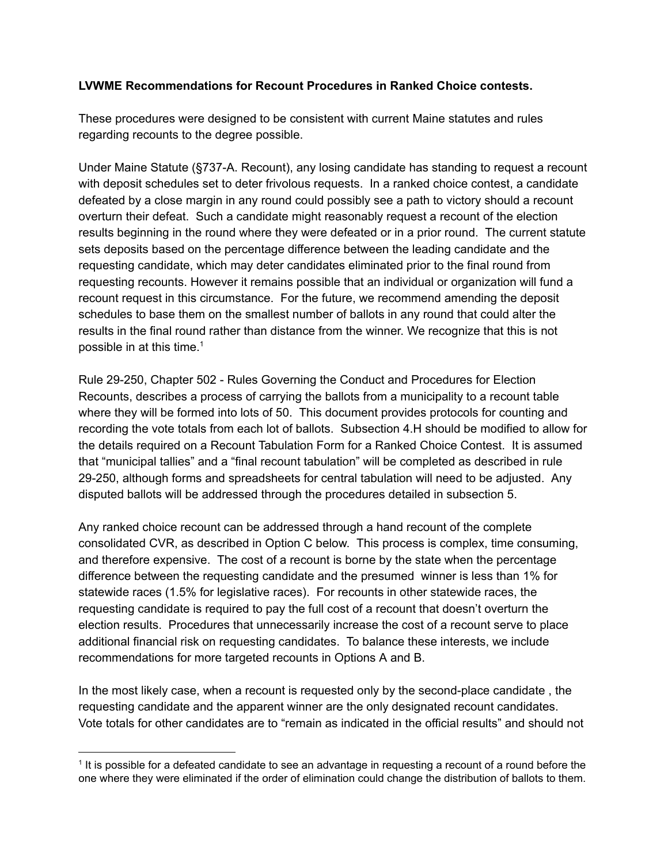## **LVWME Recommendations for Recount Procedures in Ranked Choice contests.**

These procedures were designed to be consistent with current Maine statutes and rules regarding recounts to the degree possible.

Under Maine Statute (§737-A. Recount), any losing candidate has standing to request a recount with deposit schedules set to deter frivolous requests. In a ranked choice contest, a candidate defeated by a close margin in any round could possibly see a path to victory should a recount overturn their defeat. Such a candidate might reasonably request a recount of the election results beginning in the round where they were defeated or in a prior round. The current statute sets deposits based on the percentage difference between the leading candidate and the requesting candidate, which may deter candidates eliminated prior to the final round from requesting recounts. However it remains possible that an individual or organization will fund a recount request in this circumstance. For the future, we recommend amending the deposit schedules to base them on the smallest number of ballots in any round that could alter the results in the final round rather than distance from the winner. We recognize that this is not possible in at this time. 1

Rule 29-250, Chapter 502 - Rules Governing the Conduct and Procedures for Election Recounts, describes a process of carrying the ballots from a municipality to a recount table where they will be formed into lots of 50. This document provides protocols for counting and recording the vote totals from each lot of ballots. Subsection 4.H should be modified to allow for the details required on a Recount Tabulation Form for a Ranked Choice Contest. It is assumed that "municipal tallies" and a "final recount tabulation" will be completed as described in rule 29250, although forms and spreadsheets for central tabulation will need to be adjusted. Any disputed ballots will be addressed through the procedures detailed in subsection 5.

Any ranked choice recount can be addressed through a hand recount of the complete consolidated CVR, as described in Option C below. This process is complex, time consuming, and therefore expensive. The cost of a recount is borne by the state when the percentage difference between the requesting candidate and the presumed winner is less than 1% for statewide races (1.5% for legislative races). For recounts in other statewide races, the requesting candidate is required to pay the full cost of a recount that doesn't overturn the election results. Procedures that unnecessarily increase the cost of a recount serve to place additional financial risk on requesting candidates. To balance these interests, we include recommendations for more targeted recounts in Options A and B.

In the most likely case, when a recount is requested only by the second-place candidate, the requesting candidate and the apparent winner are the only designated recount candidates. Vote totals for other candidates are to "remain as indicated in the official results" and should not

<sup>&</sup>lt;sup>1</sup> It is possible for a defeated candidate to see an advantage in requesting a recount of a round before the one where they were eliminated if the order of elimination could change the distribution of ballots to them.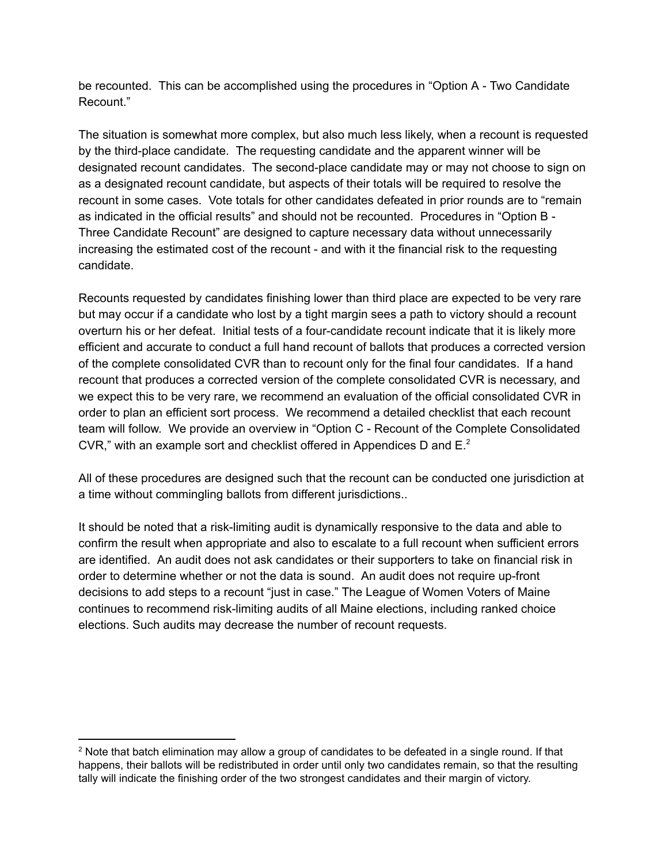be recounted. This can be accomplished using the procedures in "Option A - Two Candidate" Recount."

The situation is somewhat more complex, but also much less likely, when a recount is requested by the third-place candidate. The requesting candidate and the apparent winner will be designated recount candidates. The second-place candidate may or may not choose to sign on as a designated recount candidate, but aspects of their totals will be required to resolve the recount in some cases. Vote totals for other candidates defeated in prior rounds are to "remain as indicated in the official results" and should not be recounted. Procedures in "Option B Three Candidate Recount" are designed to capture necessary data without unnecessarily increasing the estimated cost of the recount - and with it the financial risk to the requesting candidate.

Recounts requested by candidates finishing lower than third place are expected to be very rare but may occur if a candidate who lost by a tight margin sees a path to victory should a recount overturn his or her defeat. Initial tests of a four-candidate recount indicate that it is likely more efficient and accurate to conduct a full hand recount of ballots that produces a corrected version of the complete consolidated CVR than to recount only for the final four candidates. If a hand recount that produces a corrected version of the complete consolidated CVR is necessary, and we expect this to be very rare, we recommend an evaluation of the official consolidated CVR in order to plan an efficient sort process. We recommend a detailed checklist that each recount team will follow. We provide an overview in "Option C - Recount of the Complete Consolidated CVR," with an example sort and checklist offered in Appendices D and  $E^2$ 

All of these procedures are designed such that the recount can be conducted one jurisdiction at a time without commingling ballots from different jurisdictions..

It should be noted that a risk-limiting audit is dynamically responsive to the data and able to confirm the result when appropriate and also to escalate to a full recount when sufficient errors are identified. An audit does not ask candidates or their supporters to take on financial risk in order to determine whether or not the data is sound. An audit does not require up-front decisions to add steps to a recount "just in case." The League of Women Voters of Maine continues to recommend risk-limiting audits of all Maine elections, including ranked choice elections. Such audits may decrease the number of recount requests.

<sup>&</sup>lt;sup>2</sup> Note that batch elimination may allow a group of candidates to be defeated in a single round. If that happens, their ballots will be redistributed in order until only two candidates remain, so that the resulting tally will indicate the finishing order of the two strongest candidates and their margin of victory.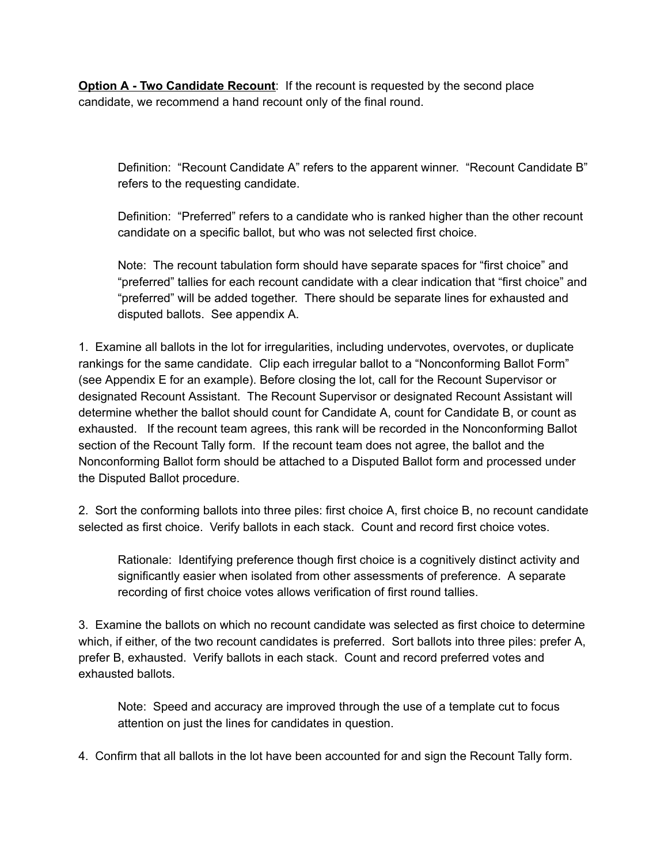**Option A Two Candidate Recount**: If the recount is requested by the second place candidate, we recommend a hand recount only of the final round.

Definition: "Recount Candidate A" refers to the apparent winner. "Recount Candidate B" refers to the requesting candidate.

Definition: "Preferred" refers to a candidate who is ranked higher than the other recount candidate on a specific ballot, but who was not selected first choice.

Note: The recount tabulation form should have separate spaces for "first choice" and "preferred" tallies for each recount candidate with a clear indication that "first choice" and "preferred" will be added together. There should be separate lines for exhausted and disputed ballots. See appendix A.

1. Examine all ballots in the lot for irregularities, including undervotes, overvotes, or duplicate rankings for the same candidate. Clip each irregular ballot to a "Nonconforming Ballot Form" (see Appendix E for an example). Before closing the lot, call for the Recount Supervisor or designated Recount Assistant. The Recount Supervisor or designated Recount Assistant will determine whether the ballot should count for Candidate A, count for Candidate B, or count as exhausted. If the recount team agrees, this rank will be recorded in the Nonconforming Ballot section of the Recount Tally form. If the recount team does not agree, the ballot and the Nonconforming Ballot form should be attached to a Disputed Ballot form and processed under the Disputed Ballot procedure.

2. Sort the conforming ballots into three piles: first choice A, first choice B, no recount candidate selected as first choice. Verify ballots in each stack. Count and record first choice votes.

Rationale: Identifying preference though first choice is a cognitively distinct activity and significantly easier when isolated from other assessments of preference. A separate recording of first choice votes allows verification of first round tallies.

3. Examine the ballots on which no recount candidate was selected as first choice to determine which, if either, of the two recount candidates is preferred. Sort ballots into three piles: prefer A, prefer B, exhausted. Verify ballots in each stack. Count and record preferred votes and exhausted ballots.

Note: Speed and accuracy are improved through the use of a template cut to focus attention on just the lines for candidates in question.

4. Confirm that all ballots in the lot have been accounted for and sign the Recount Tally form.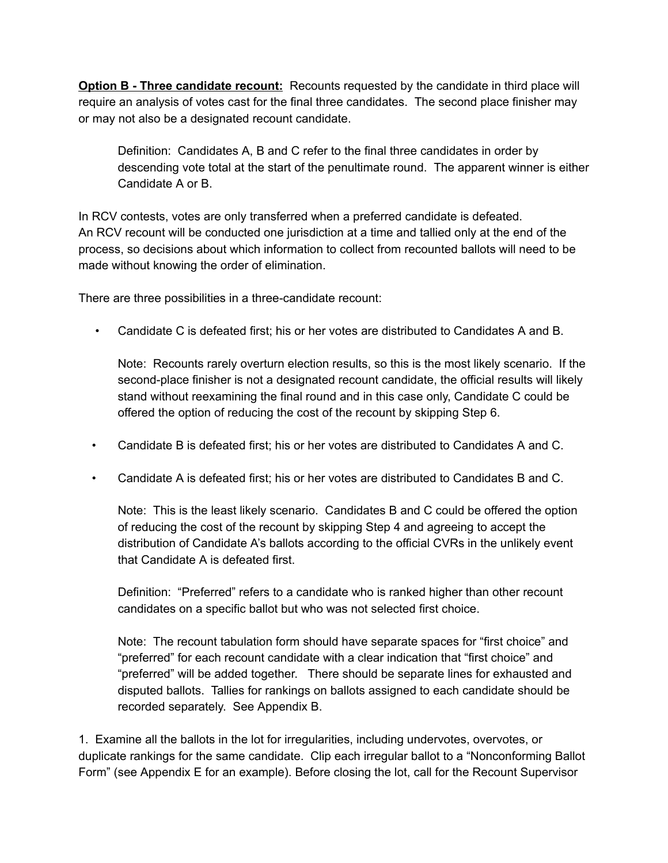**Option B Three candidate recount:** Recounts requested by the candidate in third place will require an analysis of votes cast for the final three candidates. The second place finisher may or may not also be a designated recount candidate.

Definition: Candidates A, B and C refer to the final three candidates in order by descending vote total at the start of the penultimate round. The apparent winner is either Candidate A or B.

In RCV contests, votes are only transferred when a preferred candidate is defeated. An RCV recount will be conducted one jurisdiction at a time and tallied only at the end of the process, so decisions about which information to collect from recounted ballots will need to be made without knowing the order of elimination.

There are three possibilities in a three-candidate recount:

• Candidate C is defeated first; his or her votes are distributed to Candidates A and B.

Note: Recounts rarely overturn election results, so this is the most likely scenario. If the second-place finisher is not a designated recount candidate, the official results will likely stand without reexamining the final round and in this case only, Candidate C could be offered the option of reducing the cost of the recount by skipping Step 6.

- Candidate B is defeated first; his or her votes are distributed to Candidates A and C.
- Candidate A is defeated first; his or her votes are distributed to Candidates B and C.

Note: This is the least likely scenario. Candidates B and C could be offered the option of reducing the cost of the recount by skipping Step 4 and agreeing to accept the distribution of Candidate A's ballots according to the official CVRs in the unlikely event that Candidate A is defeated first.

Definition: "Preferred" refers to a candidate who is ranked higher than other recount candidates on a specific ballot but who was not selected first choice.

Note: The recount tabulation form should have separate spaces for "first choice" and "preferred" for each recount candidate with a clear indication that "first choice" and "preferred" will be added together. There should be separate lines for exhausted and disputed ballots. Tallies for rankings on ballots assigned to each candidate should be recorded separately. See Appendix B.

1. Examine all the ballots in the lot for irregularities, including undervotes, overvotes, or duplicate rankings for the same candidate. Clip each irregular ballot to a "Nonconforming Ballot Form" (see Appendix E for an example). Before closing the lot, call for the Recount Supervisor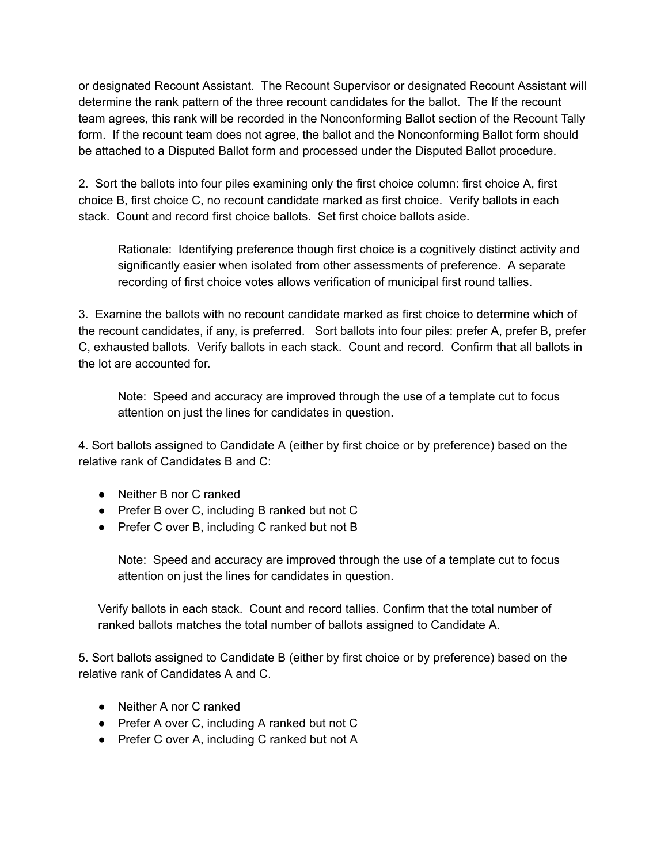or designated Recount Assistant. The Recount Supervisor or designated Recount Assistant will determine the rank pattern of the three recount candidates for the ballot. The If the recount team agrees, this rank will be recorded in the Nonconforming Ballot section of the Recount Tally form. If the recount team does not agree, the ballot and the Nonconforming Ballot form should be attached to a Disputed Ballot form and processed under the Disputed Ballot procedure.

2. Sort the ballots into four piles examining only the first choice column: first choice A, first choice B, first choice C, no recount candidate marked as first choice. Verify ballots in each stack. Count and record first choice ballots. Set first choice ballots aside.

Rationale: Identifying preference though first choice is a cognitively distinct activity and significantly easier when isolated from other assessments of preference. A separate recording of first choice votes allows verification of municipal first round tallies.

3. Examine the ballots with no recount candidate marked as first choice to determine which of the recount candidates, if any, is preferred. Sort ballots into four piles: prefer A, prefer B, prefer C, exhausted ballots. Verify ballots in each stack. Count and record. Confirm that all ballots in the lot are accounted for.

Note: Speed and accuracy are improved through the use of a template cut to focus attention on just the lines for candidates in question.

4. Sort ballots assigned to Candidate A (either by first choice or by preference) based on the relative rank of Candidates B and C:

- Neither B nor C ranked
- Prefer B over C, including B ranked but not C
- Prefer C over B, including C ranked but not B

Note: Speed and accuracy are improved through the use of a template cut to focus attention on just the lines for candidates in question.

Verify ballots in each stack. Count and record tallies. Confirm that the total number of ranked ballots matches the total number of ballots assigned to Candidate A.

5. Sort ballots assigned to Candidate B (either by first choice or by preference) based on the relative rank of Candidates A and C.

- Neither A nor C ranked
- Prefer A over C, including A ranked but not C
- Prefer C over A, including C ranked but not A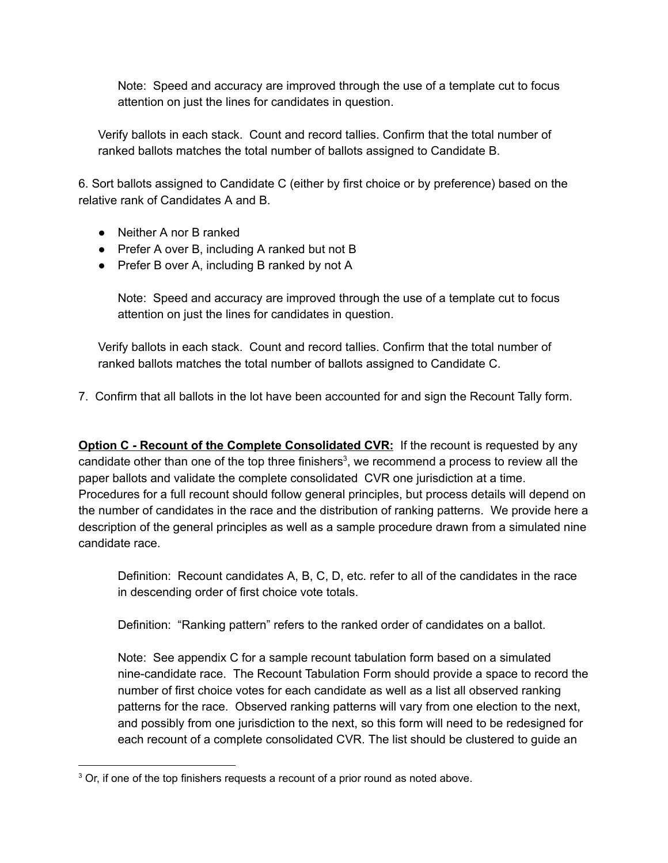Note: Speed and accuracy are improved through the use of a template cut to focus attention on just the lines for candidates in question.

Verify ballots in each stack. Count and record tallies. Confirm that the total number of ranked ballots matches the total number of ballots assigned to Candidate B.

6. Sort ballots assigned to Candidate C (either by first choice or by preference) based on the relative rank of Candidates A and B.

- Neither A nor B ranked
- Prefer A over B, including A ranked but not B
- Prefer B over A, including B ranked by not A

Note: Speed and accuracy are improved through the use of a template cut to focus attention on just the lines for candidates in question.

Verify ballots in each stack. Count and record tallies. Confirm that the total number of ranked ballots matches the total number of ballots assigned to Candidate C.

7. Confirm that all ballots in the lot have been accounted for and sign the Recount Tally form.

**Option C Recount of the Complete Consolidated CVR:** If the recount is requested by any candidate other than one of the top three finishers<sup>3</sup>, we recommend a process to review all the paper ballots and validate the complete consolidated CVR one jurisdiction at a time. Procedures for a full recount should follow general principles, but process details will depend on the number of candidates in the race and the distribution of ranking patterns. We provide here a description of the general principles as well as a sample procedure drawn from a simulated nine candidate race.

Definition: Recount candidates A, B, C, D, etc. refer to all of the candidates in the race in descending order of first choice vote totals.

Definition: "Ranking pattern" refers to the ranked order of candidates on a ballot.

Note: See appendix C for a sample recount tabulation form based on a simulated nine-candidate race. The Recount Tabulation Form should provide a space to record the number of first choice votes for each candidate as well as a list all observed ranking patterns for the race. Observed ranking patterns will vary from one election to the next, and possibly from one jurisdiction to the next, so this form will need to be redesigned for each recount of a complete consolidated CVR. The list should be clustered to guide an

<sup>&</sup>lt;sup>3</sup> Or, if one of the top finishers requests a recount of a prior round as noted above.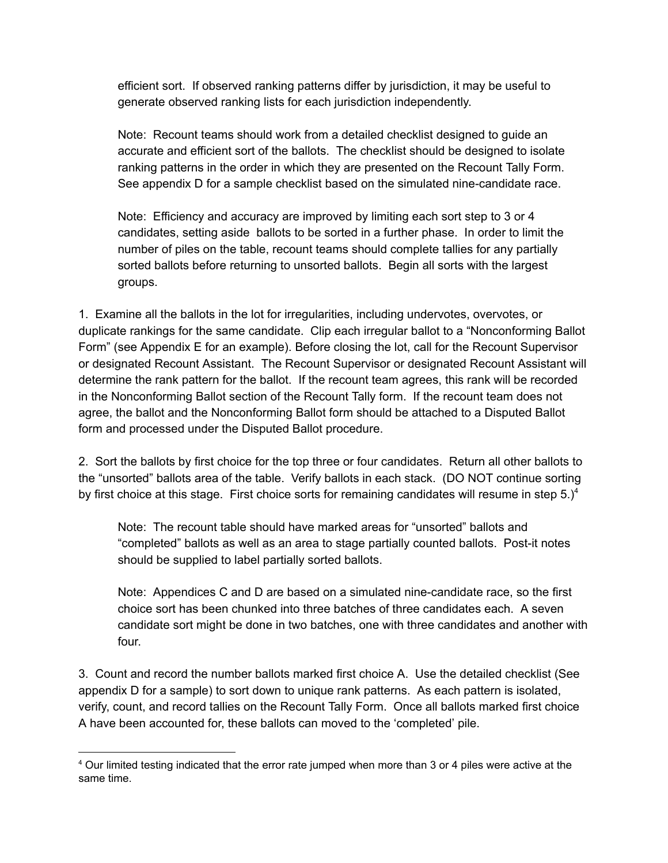efficient sort. If observed ranking patterns differ by jurisdiction, it may be useful to generate observed ranking lists for each jurisdiction independently.

Note: Recount teams should work from a detailed checklist designed to guide an accurate and efficient sort of the ballots. The checklist should be designed to isolate ranking patterns in the order in which they are presented on the Recount Tally Form. See appendix D for a sample checklist based on the simulated ninecandidate race.

Note: Efficiency and accuracy are improved by limiting each sort step to 3 or 4 candidates, setting aside ballots to be sorted in a further phase. In order to limit the number of piles on the table, recount teams should complete tallies for any partially sorted ballots before returning to unsorted ballots. Begin all sorts with the largest groups.

1. Examine all the ballots in the lot for irregularities, including undervotes, overvotes, or duplicate rankings for the same candidate. Clip each irregular ballot to a "Nonconforming Ballot Form" (see Appendix E for an example). Before closing the lot, call for the Recount Supervisor or designated Recount Assistant. The Recount Supervisor or designated Recount Assistant will determine the rank pattern for the ballot. If the recount team agrees, this rank will be recorded in the Nonconforming Ballot section of the Recount Tally form. If the recount team does not agree, the ballot and the Nonconforming Ballot form should be attached to a Disputed Ballot form and processed under the Disputed Ballot procedure.

2. Sort the ballots by first choice for the top three or four candidates. Return all other ballots to the "unsorted" ballots area of the table. Verify ballots in each stack. (DO NOT continue sorting by first choice at this stage. First choice sorts for remaining candidates will resume in step  $5.$ )<sup>4</sup>

Note: The recount table should have marked areas for "unsorted" ballots and "completed" ballots as well as an area to stage partially counted ballots. Postit notes should be supplied to label partially sorted ballots.

Note: Appendices C and D are based on a simulated nine-candidate race, so the first choice sort has been chunked into three batches of three candidates each. A seven candidate sort might be done in two batches, one with three candidates and another with four.

3. Count and record the number ballots marked first choice A. Use the detailed checklist (See appendix D for a sample) to sort down to unique rank patterns. As each pattern is isolated, verify, count, and record tallies on the Recount Tally Form. Once all ballots marked first choice A have been accounted for, these ballots can moved to the 'completed' pile.

<sup>4</sup> Our limited testing indicated that the error rate jumped when more than 3 or 4 piles were active at the same time.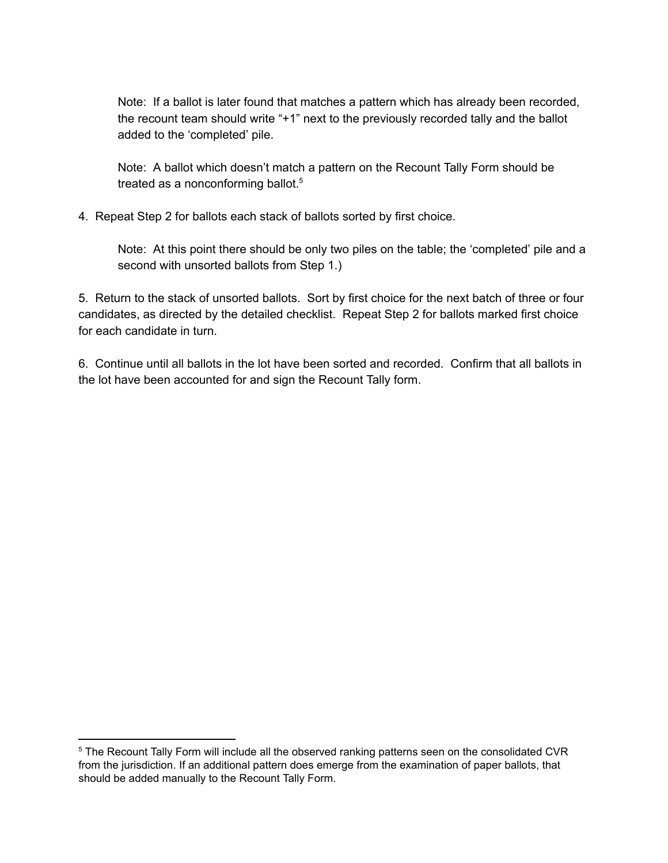Note: If a ballot is later found that matches a pattern which has already been recorded, the recount team should write "+1" next to the previously recorded tally and the ballot added to the 'completed' pile.

Note: A ballot which doesn't match a pattern on the Recount Tally Form should be treated as a nonconforming ballot.<sup>5</sup>

4. Repeat Step 2 for ballots each stack of ballots sorted by first choice.

Note: At this point there should be only two piles on the table; the 'completed' pile and a second with unsorted ballots from Step 1.)

5. Return to the stack of unsorted ballots. Sort by first choice for the next batch of three or four candidates, as directed by the detailed checklist. Repeat Step 2 for ballots marked first choice for each candidate in turn.

6. Continue until all ballots in the lot have been sorted and recorded. Confirm that all ballots in the lot have been accounted for and sign the Recount Tally form.

<sup>&</sup>lt;sup>5</sup> The Recount Tally Form will include all the observed ranking patterns seen on the consolidated CVR from the jurisdiction. If an additional pattern does emerge from the examination of paper ballots, that should be added manually to the Recount Tally Form.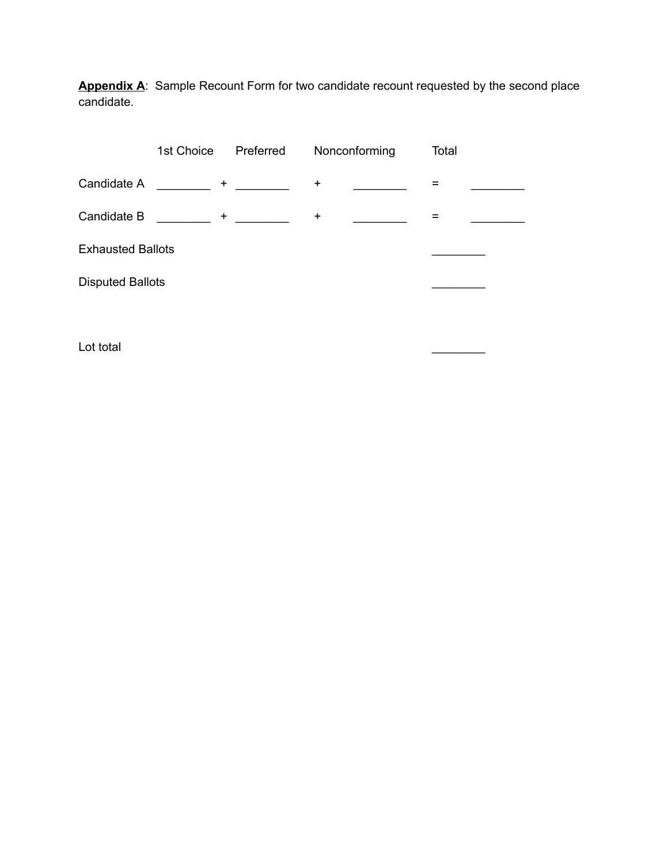**Appendix A**: Sample Recount Form for two candidate recount requested by the second place candidate.

| 1st Choice               | Preferred | Nonconforming                                             | Total |
|--------------------------|-----------|-----------------------------------------------------------|-------|
|                          |           | $\ddot{}$                                                 |       |
| $\ddot{}$                |           | $\ddot{}$                                                 |       |
| <b>Exhausted Ballots</b> |           |                                                           |       |
| <b>Disputed Ballots</b>  |           |                                                           |       |
|                          |           | $\mathbf{H}$ and $\mathbf{H}$ are the set of $\mathbf{H}$ |       |

Lot total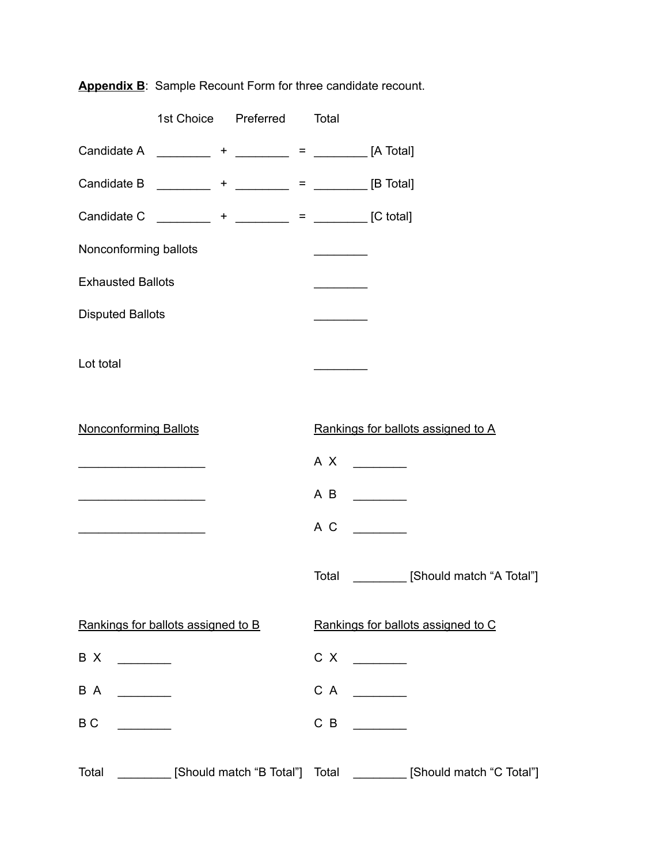|                              | 1st Choice Preferred                                   |  | Total |               |                                                                  |
|------------------------------|--------------------------------------------------------|--|-------|---------------|------------------------------------------------------------------|
|                              | Candidate A __________ + ________ = ________ [A Total] |  |       |               |                                                                  |
|                              | Candidate B _________ + ________ = _______ [B Total]   |  |       |               |                                                                  |
|                              | Candidate C _________ + _______ = _______ [C total]    |  |       |               |                                                                  |
| Nonconforming ballots        |                                                        |  |       |               |                                                                  |
| <b>Exhausted Ballots</b>     |                                                        |  |       |               |                                                                  |
| <b>Disputed Ballots</b>      |                                                        |  |       |               |                                                                  |
|                              |                                                        |  |       |               |                                                                  |
| Lot total                    |                                                        |  |       |               |                                                                  |
|                              |                                                        |  |       |               |                                                                  |
| <b>Nonconforming Ballots</b> |                                                        |  |       |               | Rankings for ballots assigned to A                               |
|                              |                                                        |  | A X   |               |                                                                  |
|                              |                                                        |  | AB    |               |                                                                  |
|                              |                                                        |  | A C   |               |                                                                  |
|                              |                                                        |  |       |               |                                                                  |
|                              |                                                        |  | Total |               | [Should match "A Total"]                                         |
|                              | Rankings for ballots assigned to B                     |  |       |               | Rankings for ballots assigned to C                               |
| B X                          |                                                        |  | C X   |               |                                                                  |
| B A                          |                                                        |  | C A   | $\frac{1}{2}$ |                                                                  |
| B <sub>C</sub>               |                                                        |  | $C$ B |               |                                                                  |
|                              |                                                        |  |       |               |                                                                  |
| Total                        |                                                        |  |       |               | [Should match "B Total"] Total ________ [Should match "C Total"] |

**Appendix B**: Sample Recount Form for three candidate recount.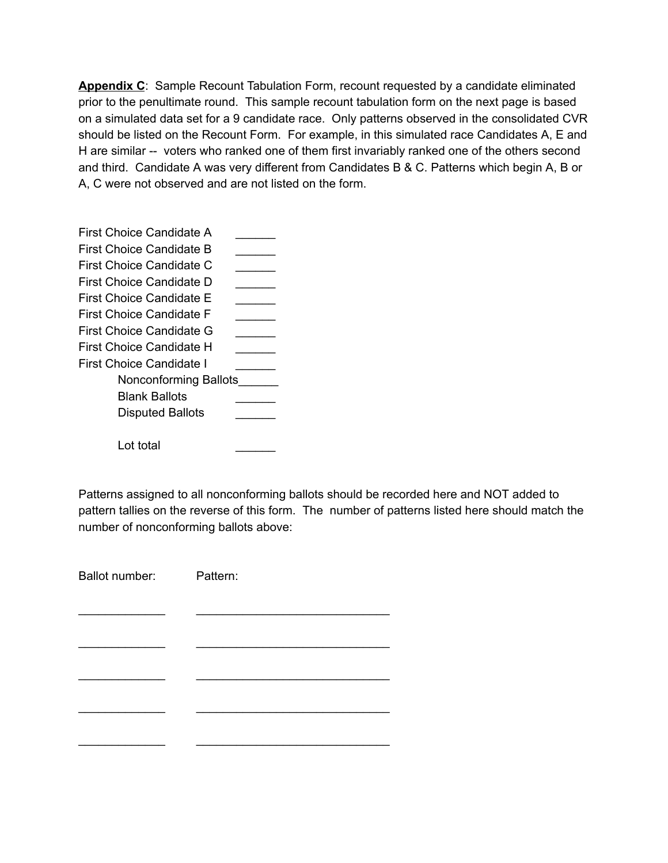**Appendix C**: Sample Recount Tabulation Form, recount requested by a candidate eliminated prior to the penultimate round. This sample recount tabulation form on the next page is based on a simulated data set for a 9 candidate race. Only patterns observed in the consolidated CVR should be listed on the Recount Form. For example, in this simulated race Candidates A, E and H are similar -- voters who ranked one of them first invariably ranked one of the others second and third. Candidate A was very different from Candidates B & C. Patterns which begin A, B or A, C were not observed and are not listed on the form.

| First Choice Candidate A        |  |
|---------------------------------|--|
| First Choice Candidate B        |  |
| First Choice Candidate C        |  |
| First Choice Candidate D        |  |
| First Choice Candidate E        |  |
| First Choice Candidate F        |  |
| <b>First Choice Candidate G</b> |  |
| First Choice Candidate H        |  |
| First Choice Candidate I        |  |
| Nonconforming Ballots           |  |
| Blank Ballots                   |  |
| <b>Disputed Ballots</b>         |  |
|                                 |  |
| Lot total                       |  |
|                                 |  |

Patterns assigned to all nonconforming ballots should be recorded here and NOT added to pattern tallies on the reverse of this form. The number of patterns listed here should match the number of nonconforming ballots above:

| Ballot number: Pattern: |
|-------------------------|
|                         |
|                         |
|                         |
|                         |
|                         |
|                         |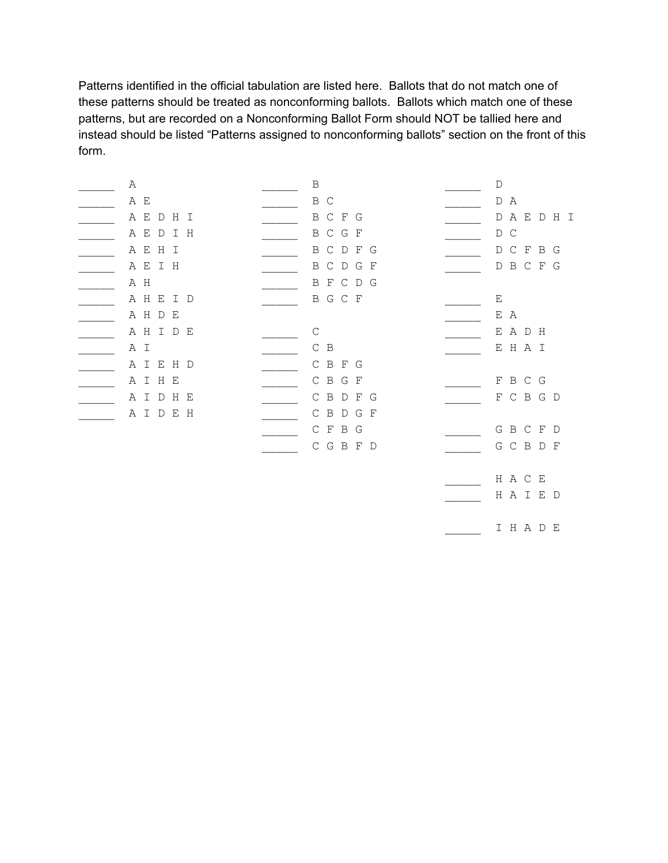Patterns identified in the official tabulation are listed here. Ballots that do not match one of these patterns should be treated as nonconforming ballots. Ballots which match one of these patterns, but are recorded on a Nonconforming Ballot Form should NOT be tallied here and instead should be listed "Patterns assigned to nonconforming ballots" section on the front of this form.

| Α         | $\, {\bf B}$                 | $\mathbb D$               |
|-----------|------------------------------|---------------------------|
| A E       | B C                          | D<br>A                    |
| A E D H I | B C F G                      | A E D H I<br>$\mathbb{D}$ |
| AEDIH     | B C G F                      | D C                       |
| A E H I   | $C$ D<br>F G<br>$\mathbf{B}$ | D C F B G                 |
| A E I H   | CDGF<br>B                    | B C F G<br>D              |
| A H       | B F C D G                    |                           |
| A H E I D | B G C F                      | Ε                         |
| A H D E   |                              | E A                       |
| AHIDE     | $\mathsf C$                  | E A D H                   |
| A I       | $C$ B                        | E H A I                   |
| A I E H D | C B F G                      |                           |
| A I H E   | C B G F                      | F B C G                   |
| A I D H E | $C$ B<br>D F G               | F C B G D                 |
| A I D E H | CBDGF                        |                           |
|           | $\cal C$ $\cal F$<br>B G     | GBCFD                     |
|           | G B F D<br>C                 | G C B D F                 |
|           |                              |                           |
|           |                              | H A C E                   |
|           |                              | HAIED                     |
|           |                              |                           |
|           |                              | I H A D E                 |
|           |                              |                           |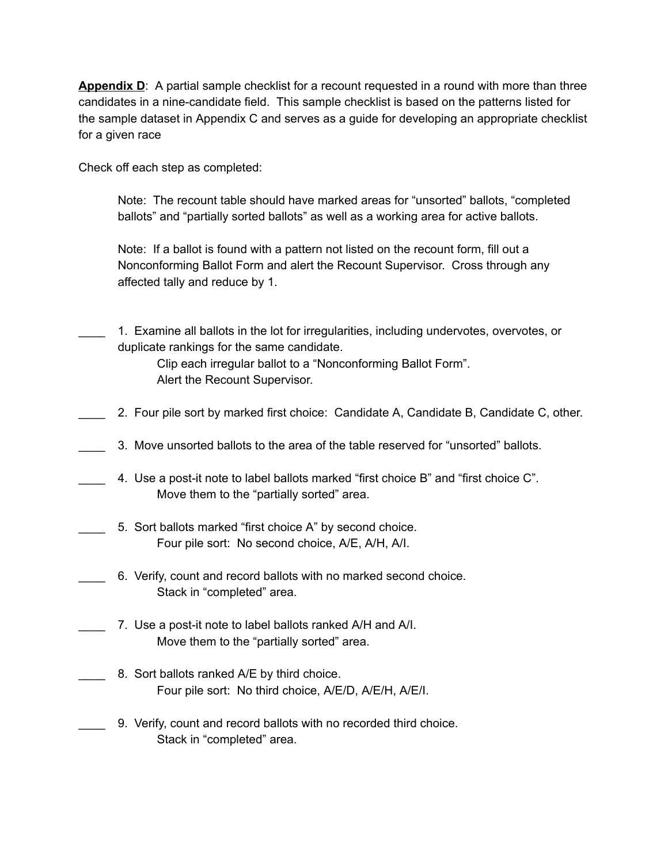**Appendix D**: A partial sample checklist for a recount requested in a round with more than three candidates in a nine-candidate field. This sample checklist is based on the patterns listed for the sample dataset in Appendix C and serves as a guide for developing an appropriate checklist for a given race

Check off each step as completed:

Note: The recount table should have marked areas for "unsorted" ballots, "completed ballots" and "partially sorted ballots" as well as a working area for active ballots.

Note: If a ballot is found with a pattern not listed on the recount form, fill out a Nonconforming Ballot Form and alert the Recount Supervisor. Cross through any affected tally and reduce by 1.

\_\_\_\_ 1. Examine all ballots in the lot for irregularities, including undervotes, overvotes, or duplicate rankings for the same candidate.

> Clip each irregular ballot to a "Nonconforming Ballot Form". Alert the Recount Supervisor.

- 2. Four pile sort by marked first choice: Candidate A, Candidate B, Candidate C, other.
- \_\_\_\_ 3. Move unsorted ballots to the area of the table reserved for "unsorted" ballots.
- \_\_\_\_ 4. Use a postit note to label ballots marked "first choice B" and "first choice C". Move them to the "partially sorted" area.
- 5. Sort ballots marked "first choice A" by second choice. Four pile sort: No second choice, A/E, A/H, A/I.
- \_\_\_\_ 6. Verify, count and record ballots with no marked second choice. Stack in "completed" area.
	- 7. Use a post-it note to label ballots ranked A/H and A/I. Move them to the "partially sorted" area.
	- 8. Sort ballots ranked A/E by third choice. Four pile sort: No third choice, A/E/D, A/E/H, A/E/I.
	- \_\_\_\_ 9. Verify, count and record ballots with no recorded third choice. Stack in "completed" area.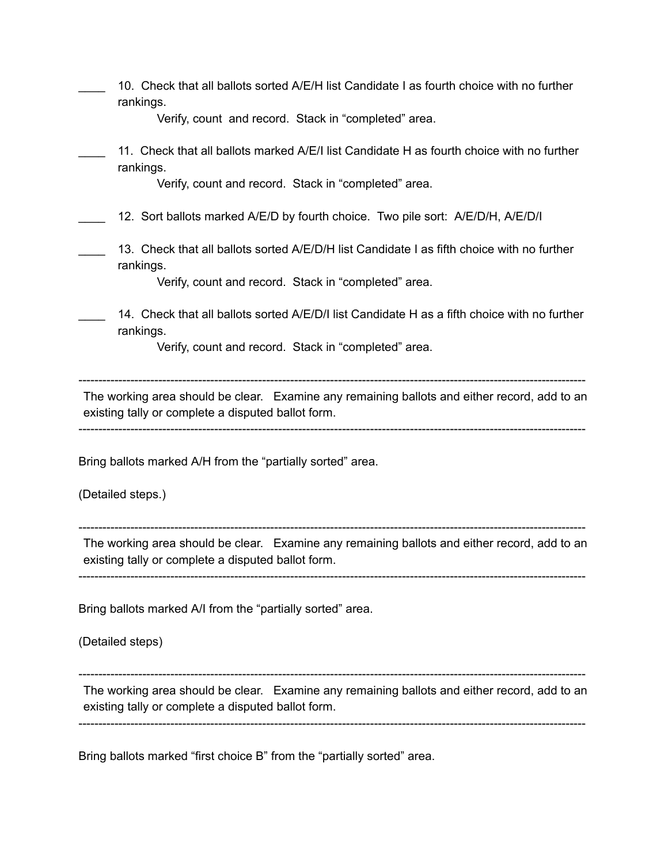| rankings.                                          | 10. Check that all ballots sorted A/E/H list Candidate I as fourth choice with no further    |
|----------------------------------------------------|----------------------------------------------------------------------------------------------|
|                                                    | Verify, count and record. Stack in "completed" area.                                         |
| rankings.                                          | 11. Check that all ballots marked A/E/I list Candidate H as fourth choice with no further    |
|                                                    | Verify, count and record. Stack in "completed" area.                                         |
|                                                    | 12. Sort ballots marked A/E/D by fourth choice. Two pile sort: A/E/D/H, A/E/D/I              |
| rankings.                                          | 13. Check that all ballots sorted A/E/D/H list Candidate I as fifth choice with no further   |
|                                                    | Verify, count and record. Stack in "completed" area.                                         |
| rankings.                                          | 14. Check that all ballots sorted A/E/D/I list Candidate H as a fifth choice with no further |
|                                                    | Verify, count and record. Stack in "completed" area.                                         |
| (Detailed steps.)                                  | Bring ballots marked A/H from the "partially sorted" area.                                   |
| existing tally or complete a disputed ballot form. | The working area should be clear. Examine any remaining ballots and either record, add to an |
|                                                    | Bring ballots marked A/I from the "partially sorted" area.                                   |
| (Detailed steps)                                   |                                                                                              |
| existing tally or complete a disputed ballot form. | The working area should be clear. Examine any remaining ballots and either record, add to an |
|                                                    |                                                                                              |

Bring ballots marked "first choice B" from the "partially sorted" area.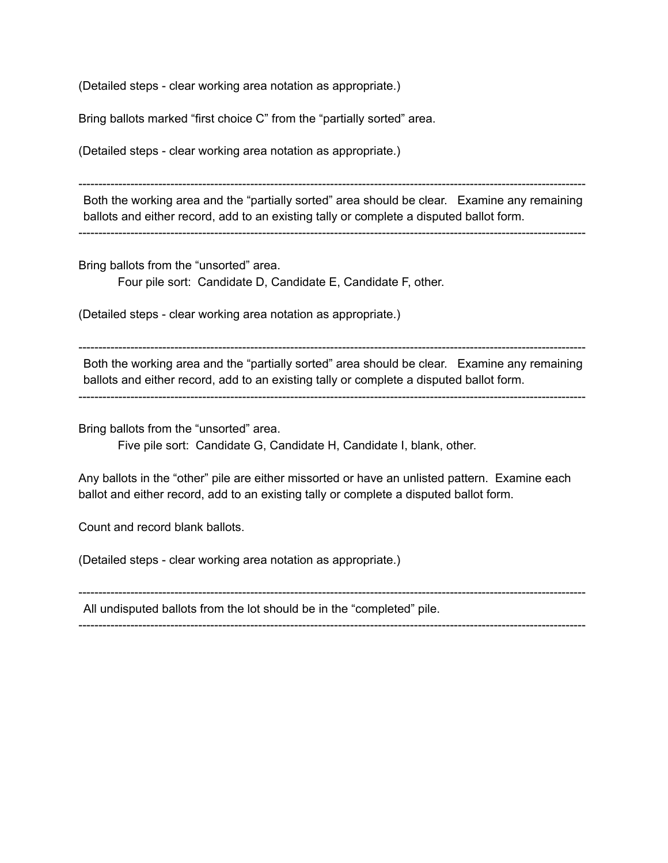(Detailed steps - clear working area notation as appropriate.)

Bring ballots marked "first choice C" from the "partially sorted" area.

(Detailed steps - clear working area notation as appropriate.)

Both the working area and the "partially sorted" area should be clear. Examine any remaining ballots and either record, add to an existing tally or complete a disputed ballot form.

Bring ballots from the "unsorted" area. Four pile sort: Candidate D, Candidate E, Candidate F, other.

(Detailed steps - clear working area notation as appropriate.)

Both the working area and the "partially sorted" area should be clear. Examine any remaining ballots and either record, add to an existing tally or complete a disputed ballot form.

Bring ballots from the "unsorted" area.

Five pile sort: Candidate G, Candidate H, Candidate I, blank, other.

Any ballots in the "other" pile are either missorted or have an unlisted pattern. Examine each ballot and either record, add to an existing tally or complete a disputed ballot form.

Count and record blank ballots.

(Detailed steps - clear working area notation as appropriate.)

 All undisputed ballots from the lot should be in the "completed" pile.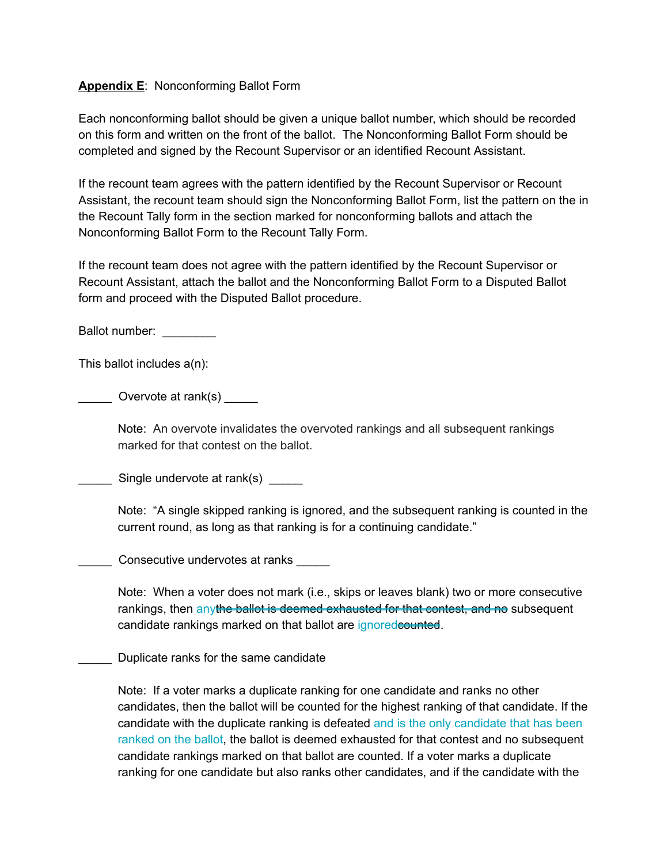## **Appendix E**: Nonconforming Ballot Form

Each nonconforming ballot should be given a unique ballot number, which should be recorded on this form and written on the front of the ballot. The Nonconforming Ballot Form should be completed and signed by the Recount Supervisor or an identified Recount Assistant.

If the recount team agrees with the pattern identified by the Recount Supervisor or Recount Assistant, the recount team should sign the Nonconforming Ballot Form, list the pattern on the in the Recount Tally form in the section marked for nonconforming ballots and attach the Nonconforming Ballot Form to the Recount Tally Form.

If the recount team does not agree with the pattern identified by the Recount Supervisor or Recount Assistant, attach the ballot and the Nonconforming Ballot Form to a Disputed Ballot form and proceed with the Disputed Ballot procedure.

Ballot number:

This ballot includes a(n):

 $\_\_$  Overvote at rank(s)  $\_\_$ 

Note: An overvote invalidates the overvoted rankings and all subsequent rankings marked for that contest on the ballot.

\_ Single undervote at rank(s) \_\_\_\_\_

Note: "A single skipped ranking is ignored, and the subsequent ranking is counted in the current round, as long as that ranking is for a continuing candidate."

\_\_\_\_\_ Consecutive undervotes at ranks \_\_\_\_\_

Note: When a voter does not mark (i.e., skips or leaves blank) two or more consecutive rankings, then anythe ballot is deemed exhausted for that contest, and no subsequent candidate rankings marked on that ballot are ignoredcounted.

\_\_\_\_\_ Duplicate ranks for the same candidate

Note: If a voter marks a duplicate ranking for one candidate and ranks no other candidates, then the ballot will be counted for the highest ranking of that candidate. If the candidate with the duplicate ranking is defeated and is the only candidate that has been ranked on the ballot, the ballot is deemed exhausted for that contest and no subsequent candidate rankings marked on that ballot are counted. If a voter marks a duplicate ranking for one candidate but also ranks other candidates, and if the candidate with the